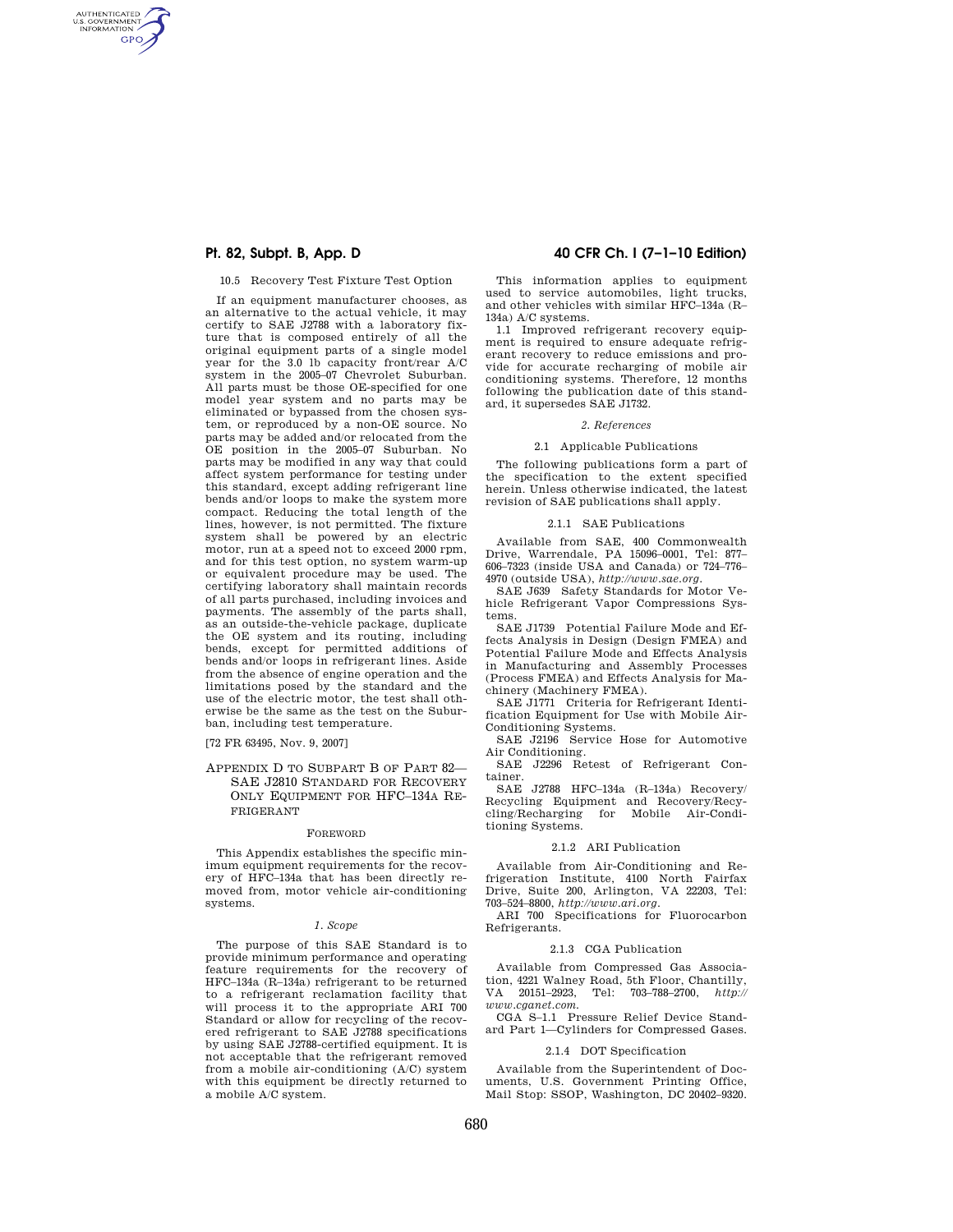AUTHENTICATED<br>U.S. GOVERNMENT<br>INFORMATION **GPO** 

#### 10.5 Recovery Test Fixture Test Option

If an equipment manufacturer chooses, as an alternative to the actual vehicle, it may certify to SAE J2788 with a laboratory fixture that is composed entirely of all the original equipment parts of a single model year for the 3.0 lb capacity front/rear A/C system in the 2005–07 Chevrolet Suburban. All parts must be those OE-specified for one model year system and no parts may be eliminated or bypassed from the chosen system, or reproduced by a non-OE source. No parts may be added and/or relocated from the OE position in the 2005–07 Suburban. No parts may be modified in any way that could affect system performance for testing under this standard, except adding refrigerant line bends and/or loops to make the system more compact. Reducing the total length of the lines, however, is not permitted. The fixture system shall be powered by an electric motor, run at a speed not to exceed 2000 rpm, and for this test option, no system warm-up or equivalent procedure may be used. The certifying laboratory shall maintain records of all parts purchased, including invoices and payments. The assembly of the parts shall, as an outside-the-vehicle package, duplicate the OE system and its routing, including bends, except for permitted additions of bends and/or loops in refrigerant lines. Aside from the absence of engine operation and the limitations posed by the standard and the use of the electric motor, the test shall otherwise be the same as the test on the Suburban, including test temperature.

[72 FR 63495, Nov. 9, 2007]

## APPENDIX D TO SUBPART B OF PART 82— SAE J2810 STANDARD FOR RECOVERY ONLY EQUIPMENT FOR HFC–134A RE-FRIGERANT

#### FOREWORD

This Appendix establishes the specific minimum equipment requirements for the recovery of HFC–134a that has been directly removed from, motor vehicle air-conditioning systems.

#### *1. Scope*

The purpose of this SAE Standard is to provide minimum performance and operating feature requirements for the recovery of HFC–134a (R–134a) refrigerant to be returned to a refrigerant reclamation facility that will process it to the appropriate ARI 700 Standard or allow for recycling of the recovered refrigerant to SAE J2788 specifications by using SAE J2788-certified equipment. It is not acceptable that the refrigerant removed from a mobile air-conditioning (A/C) system with this equipment be directly returned to a mobile A/C system.

# **Pt. 82, Subpt. B, App. D 40 CFR Ch. I (7–1–10 Edition)**

This information applies to equipment used to service automobiles, light trucks, and other vehicles with similar HFC–134a (R– 134a) A/C systems.

1.1 Improved refrigerant recovery equipment is required to ensure adequate refrigerant recovery to reduce emissions and provide for accurate recharging of mobile air conditioning systems. Therefore, 12 months following the publication date of this standard, it supersedes SAE J1732.

## *2. References*

## 2.1 Applicable Publications

The following publications form a part of the specification to the extent specified herein. Unless otherwise indicated, the latest revision of SAE publications shall apply.

#### 2.1.1 SAE Publications

Available from SAE, 400 Commonwealth Drive, Warrendale, PA 15096–0001, Tel: 877– 606–7323 (inside USA and Canada) or 724–776– 4970 (outside USA), *http://www.sae.org.* 

SAE J639 Safety Standards for Motor Vehicle Refrigerant Vapor Compressions Systems.

SAE J1739 Potential Failure Mode and Effects Analysis in Design (Design FMEA) and Potential Failure Mode and Effects Analysis in Manufacturing and Assembly Processes (Process FMEA) and Effects Analysis for Machinery (Machinery FMEA).

SAE J1771 Criteria for Refrigerant Identification Equipment for Use with Mobile Air-Conditioning Systems.

SAE J2196 Service Hose for Automotive Air Conditioning.

SAE J2296 Retest of Refrigerant Container.

SAE J2788 HFC–134a (R–134a) Recovery/ Recycling Equipment and Recovery/Recycling/Recharging for Mobile Air-Conditioning Systems.

#### 2.1.2 ARI Publication

Available from Air-Conditioning and Refrigeration Institute, 4100 North Fairfax Drive, Suite 200, Arlington, VA 22203, Tel: 703–524–8800, *http://www.ari.org.* 

ARI 700 Specifications for Fluorocarbon Refrigerants.

## 2.1.3 CGA Publication

Available from Compressed Gas Association, 4221 Walney Road, 5th Floor, Chantilly, VA 20151-2923, Tel: 703-788-2700,  $http://$ VA 20151–2923, Tel: 703–788–2700, *http:// www.cganet.com.* 

CGA S–1.1 Pressure Relief Device Standard Part 1—Cylinders for Compressed Gases.

# 2.1.4 DOT Specification

Available from the Superintendent of Documents, U.S. Government Printing Office, Mail Stop: SSOP, Washington, DC 20402–9320.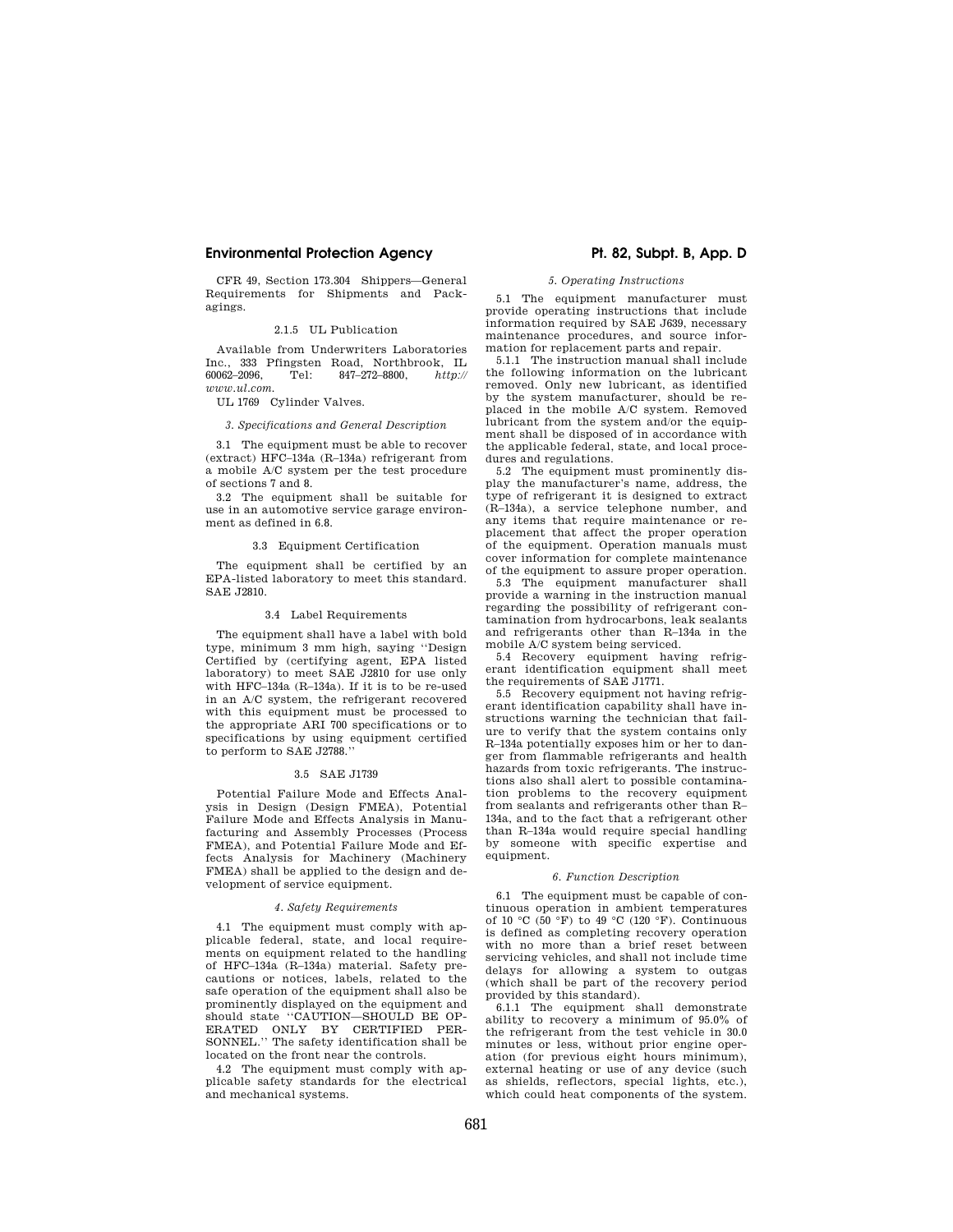# **Environmental Protection Agency Pt. 82, Subpt. B, App. D**

CFR 49, Section 173.304 Shippers—General Requirements for Shipments and Packagings.

# 2.1.5 UL Publication

Available from Underwriters Laboratories Inc., 333 Pfingsten Road, Northbrook, IL 60062–2096, Tel: 847–272–8800, *http:// www.ul.com.* 

UL 1769 Cylinder Valves.

## *3. Specifications and General Description*

3.1 The equipment must be able to recover (extract) HFC–134a (R–134a) refrigerant from a mobile A/C system per the test procedure of sections 7 and 8.

3.2 The equipment shall be suitable for use in an automotive service garage environment as defined in 6.8.

## 3.3 Equipment Certification

The equipment shall be certified by an EPA-listed laboratory to meet this standard. SAE J2810.

#### 3.4 Label Requirements

The equipment shall have a label with bold type, minimum 3 mm high, saying ''Design Certified by (certifying agent, EPA listed laboratory) to meet SAE J2810 for use only with HFC–134a (R–134a). If it is to be re-used in an A/C system, the refrigerant recovered with this equipment must be processed to the appropriate ARI 700 specifications or to specifications by using equipment certified to perform to SAE J2788.''

#### 3.5 SAE J1739

Potential Failure Mode and Effects Analysis in Design (Design FMEA), Potential Failure Mode and Effects Analysis in Manufacturing and Assembly Processes (Process FMEA), and Potential Failure Mode and Effects Analysis for Machinery (Machinery FMEA) shall be applied to the design and development of service equipment.

## *4. Safety Requirements*

4.1 The equipment must comply with applicable federal, state, and local requirements on equipment related to the handling of HFC–134a (R–134a) material. Safety precautions or notices, labels, related to the safe operation of the equipment shall also be prominently displayed on the equipment and should state ''CAUTION—SHOULD BE OP-ERATED ONLY BY CERTIFIED PER-SONNEL.'' The safety identification shall be located on the front near the controls.

4.2 The equipment must comply with applicable safety standards for the electrical and mechanical systems.

## *5. Operating Instructions*

5.1 The equipment manufacturer must provide operating instructions that include information required by SAE J639, necessary maintenance procedures, and source information for replacement parts and repair.

5.1.1 The instruction manual shall include the following information on the lubricant removed. Only new lubricant, as identified by the system manufacturer, should be replaced in the mobile A/C system. Removed lubricant from the system and/or the equipment shall be disposed of in accordance with the applicable federal, state, and local procedures and regulations.

5.2 The equipment must prominently display the manufacturer's name, address, the type of refrigerant it is designed to extract (R–134a), a service telephone number, and any items that require maintenance or replacement that affect the proper operation of the equipment. Operation manuals must cover information for complete maintenance of the equipment to assure proper operation.

5.3 The equipment manufacturer shall provide a warning in the instruction manual regarding the possibility of refrigerant contamination from hydrocarbons, leak sealants and refrigerants other than R–134a in the mobile A/C system being serviced.

5.4 Recovery equipment having refrigerant identification equipment shall meet the requirements of SAE J1771.

5.5 Recovery equipment not having refrigerant identification capability shall have instructions warning the technician that failure to verify that the system contains only R–134a potentially exposes him or her to danger from flammable refrigerants and health hazards from toxic refrigerants. The instructions also shall alert to possible contamination problems to the recovery equipment from sealants and refrigerants other than R– 134a, and to the fact that a refrigerant other than R–134a would require special handling by someone with specific expertise and equipment.

#### *6. Function Description*

6.1 The equipment must be capable of continuous operation in ambient temperatures of 10 °C ( $\bar{50}$  °F) to 49 °C (120 °F). Continuous is defined as completing recovery operation with no more than a brief reset between servicing vehicles, and shall not include time delays for allowing a system to outgas (which shall be part of the recovery period provided by this standard).

6.1.1 The equipment shall demonstrate ability to recovery a minimum of 95.0% of the refrigerant from the test vehicle in 30.0 minutes or less, without prior engine operation (for previous eight hours minimum), external heating or use of any device (such as shields, reflectors, special lights, etc.), which could heat components of the system.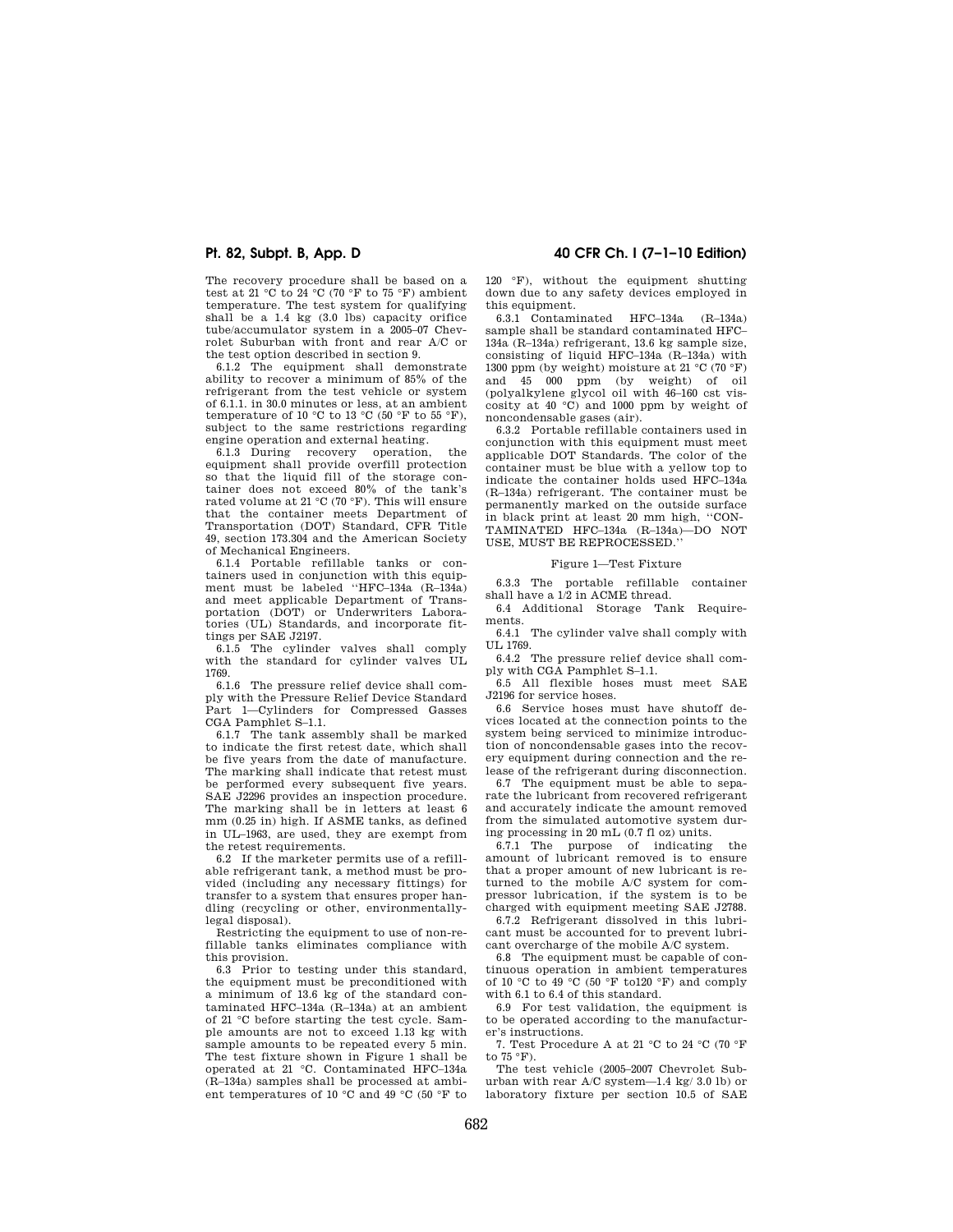The recovery procedure shall be based on a test at 21 °C to 24 °C (70 °F to 75 °F) ambient temperature. The test system for qualifying shall be a 1.4 kg (3.0 lbs) capacity orifice tube/accumulator system in a 2005–07 Chevrolet Suburban with front and rear A/C or the test option described in section 9.

6.1.2 The equipment shall demonstrate ability to recover a minimum of 85% of the refrigerant from the test vehicle or system of 6.1.1. in 30.0 minutes or less, at an ambient temperature of 10 °C to 13 °C (50 °F to 55 °F), subject to the same restrictions regarding engine operation and external heating.

6.1.3 During recovery operation, the equipment shall provide overfill protection so that the liquid fill of the storage container does not exceed 80% of the tank's rated volume at 21 °C (70 °F). This will ensure that the container meets Department of Transportation (DOT) Standard, CFR Title 49, section 173.304 and the American Society of Mechanical Engineers.

6.1.4 Portable refillable tanks or containers used in conjunction with this equipment must be labeled ''HFC–134a (R–134a) and meet applicable Department of Transportation (DOT) or Underwriters Laboratories (UL) Standards, and incorporate fittings per SAE J2197.

6.1.5 The cylinder valves shall comply with the standard for cylinder valves UL 1769.

6.1.6 The pressure relief device shall comply with the Pressure Relief Device Standard Part 1—Cylinders for Compressed Gasses CGA Pamphlet S–1.1.

6.1.7 The tank assembly shall be marked to indicate the first retest date, which shall be five years from the date of manufacture. The marking shall indicate that retest must be performed every subsequent five years. SAE J2296 provides an inspection procedure. The marking shall be in letters at least 6 mm (0.25 in) high. If ASME tanks, as defined in UL–1963, are used, they are exempt from the retest requirements.

6.2 If the marketer permits use of a refillable refrigerant tank, a method must be provided (including any necessary fittings) for transfer to a system that ensures proper handling (recycling or other, environmentallylegal disposal).

Restricting the equipment to use of non-refillable tanks eliminates compliance with this provision.

6.3 Prior to testing under this standard, the equipment must be preconditioned with a minimum of 13.6 kg of the standard contaminated HFC–134a (R–134a) at an ambient of 21 °C before starting the test cycle. Sample amounts are not to exceed 1.13 kg with sample amounts to be repeated every 5 min. The test fixture shown in Figure 1 shall be operated at 21 °C. Contaminated HFC–134a (R–134a) samples shall be processed at ambient temperatures of 10 °C and 49 °C (50 °F to

**Pt. 82, Subpt. B, App. D 40 CFR Ch. I (7–1–10 Edition)** 

120 °F), without the equipment shutting down due to any safety devices employed in this equipment.

6.3.1 Contaminated HFC–134a (R–134a) sample shall be standard contaminated HFC– 134a (R–134a) refrigerant, 13.6 kg sample size, consisting of liquid HFC–134a (R–134a) with 1300 ppm (by weight) moisture at 21  $^{\circ}\textrm{C}$  (70  $^{\circ}\textrm{F})$ and 45 000 ppm (by weight) of oil (polyalkylene glycol oil with 46–160 cst viscosity at 40 °C) and 1000 ppm by weight of noncondensable gases (air).

6.3.2 Portable refillable containers used in conjunction with this equipment must meet applicable DOT Standards. The color of the container must be blue with a yellow top to indicate the container holds used HFC–134a (R–134a) refrigerant. The container must be permanently marked on the outside surface in black print at least 20 mm high, ''CON-TAMINATED HFC–134a (R–134a)—DO NOT USE, MUST BE REPROCESSED.''

# Figure 1—Test Fixture

6.3.3 The portable refillable container shall have a 1/2 in ACME thread.

6.4 Additional Storage Tank Requirements.

6.4.1 The cylinder valve shall comply with UL 1769.

6.4.2 The pressure relief device shall comply with CGA Pamphlet S–1.1.

6.5 All flexible hoses must meet SAE J2196 for service hoses.

6.6 Service hoses must have shutoff devices located at the connection points to the system being serviced to minimize introduction of noncondensable gases into the recovery equipment during connection and the release of the refrigerant during disconnection.

6.7 The equipment must be able to separate the lubricant from recovered refrigerant and accurately indicate the amount removed from the simulated automotive system during processing in 20 mL (0.7 fl oz) units.

 $6.7.1$  The purpose of indicating amount of lubricant removed is to ensure that a proper amount of new lubricant is returned to the mobile A/C system for compressor lubrication, if the system is to be charged with equipment meeting SAE J2788.

6.7.2 Refrigerant dissolved in this lubricant must be accounted for to prevent lubricant overcharge of the mobile A/C system.

6.8 The equipment must be capable of continuous operation in ambient temperatures of 10 °C to 49 °C (50 °F to120 °F) and comply with 6.1 to 6.4 of this standard.

6.9 For test validation, the equipment is to be operated according to the manufacturer's instructions.

7. Test Procedure A at 21 °C to 24 °C (70 °F to 75 °F).

The test vehicle (2005–2007 Chevrolet Suburban with rear A/C system—1.4 kg/ 3.0 lb) or laboratory fixture per section 10.5 of SAE